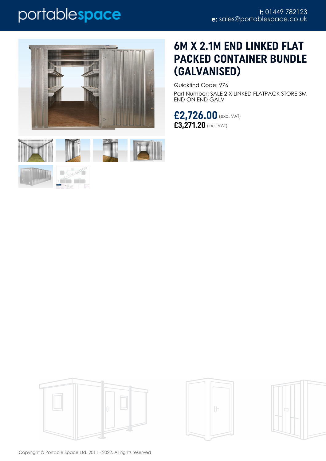# portablespace





PORT PLANT

## **6M X 2.1M END LINKED FLAT PACKED CONTAINER BUNDLE (GALVANISED)**

Quickfind Code: 976 Part Number: SALE 2 X LINKED FLATPACK STORE 3M END ON END GALV

**£2,726.00** (exc. VAT) **£3,271.20** (inc. VAT)







Copyright © Portable Space Ltd. 2011 - 2022. All rights reserved